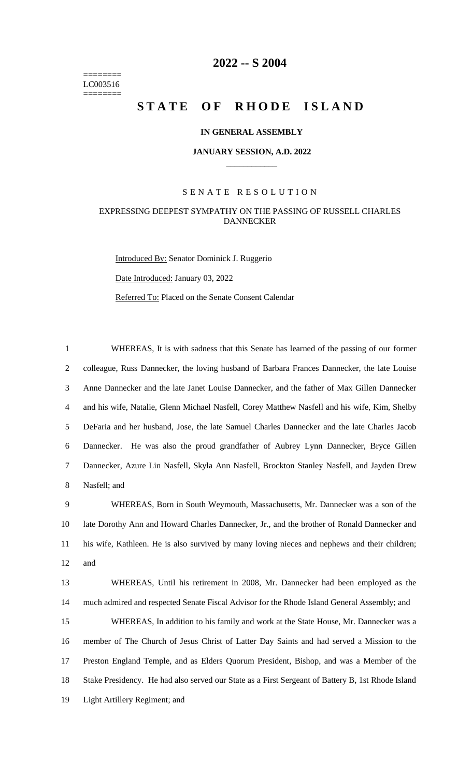======== LC003516 ========

# **-- S 2004**

# **STATE OF RHODE ISLAND**

### **IN GENERAL ASSEMBLY**

#### **JANUARY SESSION, A.D. 2022 \_\_\_\_\_\_\_\_\_\_\_\_**

# S E N A T E R E S O L U T I O N

# EXPRESSING DEEPEST SYMPATHY ON THE PASSING OF RUSSELL CHARLES DANNECKER

Introduced By: Senator Dominick J. Ruggerio Date Introduced: January 03, 2022 Referred To: Placed on the Senate Consent Calendar

 WHEREAS, It is with sadness that this Senate has learned of the passing of our former colleague, Russ Dannecker, the loving husband of Barbara Frances Dannecker, the late Louise Anne Dannecker and the late Janet Louise Dannecker, and the father of Max Gillen Dannecker and his wife, Natalie, Glenn Michael Nasfell, Corey Matthew Nasfell and his wife, Kim, Shelby DeFaria and her husband, Jose, the late Samuel Charles Dannecker and the late Charles Jacob Dannecker. He was also the proud grandfather of Aubrey Lynn Dannecker, Bryce Gillen Dannecker, Azure Lin Nasfell, Skyla Ann Nasfell, Brockton Stanley Nasfell, and Jayden Drew Nasfell; and

 WHEREAS, Born in South Weymouth, Massachusetts, Mr. Dannecker was a son of the late Dorothy Ann and Howard Charles Dannecker, Jr., and the brother of Ronald Dannecker and his wife, Kathleen. He is also survived by many loving nieces and nephews and their children; and

 WHEREAS, Until his retirement in 2008, Mr. Dannecker had been employed as the much admired and respected Senate Fiscal Advisor for the Rhode Island General Assembly; and

 WHEREAS, In addition to his family and work at the State House, Mr. Dannecker was a member of The Church of Jesus Christ of Latter Day Saints and had served a Mission to the Preston England Temple, and as Elders Quorum President, Bishop, and was a Member of the Stake Presidency. He had also served our State as a First Sergeant of Battery B, 1st Rhode Island Light Artillery Regiment; and